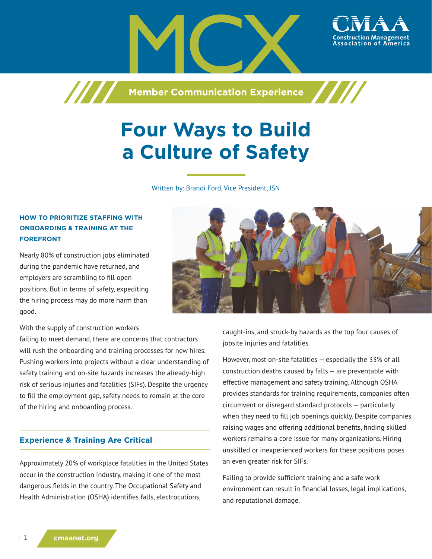

**Member Communication Experience**

# **Four Ways to Build a Culture of Safety**

Written by: Brandi Ford, Vice President, ISN

## **HOW TO PRIORITIZE STAFFING WITH ONBOARDING & TRAINING AT THE FOREFRONT**

777

Nearly 80% of construction jobs eliminated during the pandemic have returned, and employers are scrambling to fill open positions. But in terms of safety, expediting the hiring process may do more harm than good.



With the supply of construction workers

failing to meet demand, there are concerns that contractors will rush the onboarding and training processes for new hires. Pushing workers into projects without a clear understanding of safety training and on-site hazards increases the already-high risk of serious injuries and fatalities (SIFs). Despite the urgency to fill the employment gap, safety needs to remain at the core of the hiring and onboarding process.

## **Experience & Training Are Critical**

Approximately 20% of workplace fatalities in the United States occur in the construction industry, making it one of the most dangerous fields in the country. The Occupational Safety and Health Administration (OSHA) identifies falls, electrocutions,

caught-ins, and struck-by hazards as the top four causes of jobsite injuries and fatalities.

However, most on-site fatalities — especially the 33% of all construction deaths caused by falls — are preventable with effective management and safety training. Although OSHA provides standards for training requirements, companies often circumvent or disregard standard protocols — particularly when they need to fill job openings quickly. Despite companies raising wages and offering additional benefits, finding skilled workers remains a core issue for many organizations. Hiring unskilled or inexperienced workers for these positions poses an even greater risk for SIFs.

Failing to provide sufficient training and a safe work environment can result in financial losses, legal implications, and reputational damage.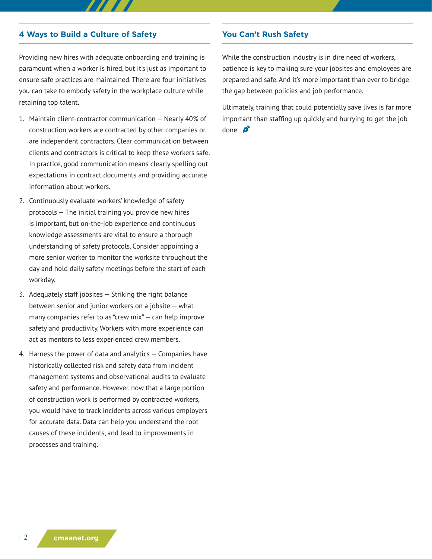### **4 Ways to Build a Culture of Safety**

Providing new hires with adequate onboarding and training is paramount when a worker is hired, but it's just as important to ensure safe practices are maintained. There are four initiatives you can take to embody safety in the workplace culture while retaining top talent.

- 1. Maintain client-contractor communication Nearly 40% of construction workers are contracted by other companies or are independent contractors. Clear communication between clients and contractors is critical to keep these workers safe. In practice, good communication means clearly spelling out expectations in contract documents and providing accurate information about workers.
- 2. Continuously evaluate workers' knowledge of safety protocols — The initial training you provide new hires is important, but on-the-job experience and continuous knowledge assessments are vital to ensure a thorough understanding of safety protocols. Consider appointing a more senior worker to monitor the worksite throughout the day and hold daily safety meetings before the start of each workday.
- 3. Adequately staff jobsites Striking the right balance between senior and junior workers on a jobsite — what many companies refer to as "crew mix" — can help improve safety and productivity. Workers with more experience can act as mentors to less experienced crew members.
- 4. Harness the power of data and analytics Companies have historically collected risk and safety data from incident management systems and observational audits to evaluate safety and performance. However, now that a large portion of construction work is performed by contracted workers, you would have to track incidents across various employers for accurate data. Data can help you understand the root causes of these incidents, and lead to improvements in processes and training.

#### **You Can't Rush Safety**

While the construction industry is in dire need of workers, patience is key to making sure your jobsites and employees are prepared and safe. And it's more important than ever to bridge the gap between policies and job performance.

Ultimately, training that could potentially save lives is far more important than staffing up quickly and hurrying to get the job done.  $\sum$